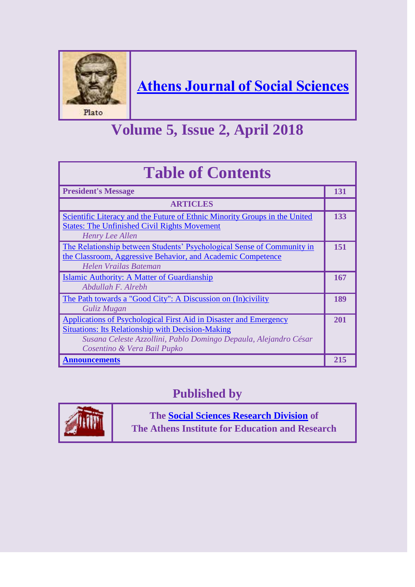

### **[Athens Journal of Social Sciences](http://www.athensjournals.gr/ajss)**

# **Volume 5, Issue 2, April 2018**

| <b>Table of Contents</b>                                                                                                                                                                                                                |     |
|-----------------------------------------------------------------------------------------------------------------------------------------------------------------------------------------------------------------------------------------|-----|
| <b>President's Message</b>                                                                                                                                                                                                              | 131 |
| <b>ARTICLES</b>                                                                                                                                                                                                                         |     |
| Scientific Literacy and the Future of Ethnic Minority Groups in the United<br><b>States: The Unfinished Civil Rights Movement</b><br>Henry Lee Allen                                                                                    | 133 |
| The Relationship between Students' Psychological Sense of Community in<br>the Classroom, Aggressive Behavior, and Academic Competence<br>Helen Vrailas Bateman                                                                          | 151 |
| Islamic Authority: A Matter of Guardianship<br>Abdullah F. Alrebh                                                                                                                                                                       | 167 |
| The Path towards a "Good City": A Discussion on (In)civility<br>Guliz Mugan                                                                                                                                                             | 189 |
| <b>Applications of Psychological First Aid in Disaster and Emergency</b><br><b>Situations: Its Relationship with Decision-Making</b><br>Susana Celeste Azzollini, Pablo Domingo Depaula, Alejandro César<br>Cosentino & Vera Bail Pupko | 201 |
| <b>Announcements</b>                                                                                                                                                                                                                    | 215 |

### **Published by**



**The [Social Sciences Research Division](http://www.atiner.gr/SSRD.htm) of The Athens Institute for Education and Research**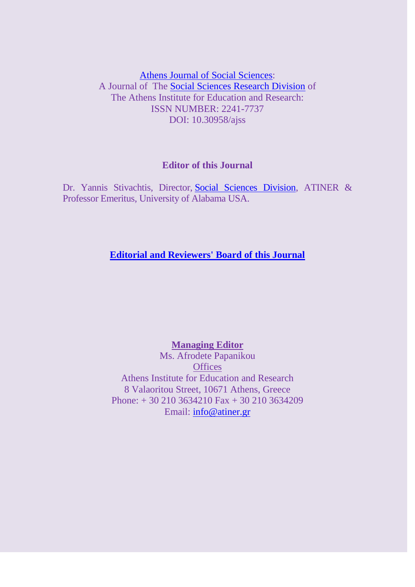[Athens Journal of Social Sciences:](http://www.athensjournals.gr/ajss) A Journal of The [Social Sciences Research Division](http://www.atiner.gr/SSRD.htm) of The Athens Institute for Education and Research: ISSN NUMBER: 2241-7737 DOI: 10.30958/ajss

#### **Editor of this Journal**

Dr. Yannis Stivachtis, Director, [Social Sciences Division,](http://atiner.gr/ssrd) ATINER & Professor Emeritus, University of Alabama USA.

#### **[Editorial and Reviewers' Board of this Journal](https://www.athensjournals.gr/ajss/eb)**

**Managing Editor** Ms. Afrodete Papanikou **Offices** Athens Institute for Education and Research 8 Valaoritou Street, 10671 Athens, Greece Phone: + 30 210 3634210 Fax + 30 210 3634209 Email: [info@atiner.gr](mailto:info@atiner.gr)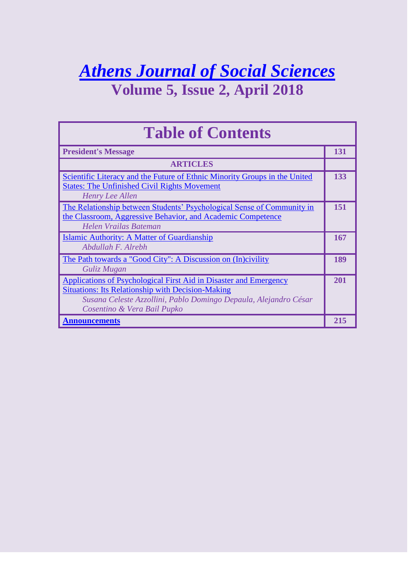## *[Athens Journal of Social Sciences](http://www.athensjournals.gr/ajss)* **Volume 5, Issue 2, April 2018**

**Table of Contents President's Message 131 131 ARTICLES** [Scientific Literacy and the Future of Ethnic Minority Groups in the United](http://www.athensjournals.gr/social/2018-5-2-1-Allen.pdf)  [States: The Unfinished Civil Rights Movement](http://www.athensjournals.gr/social/2018-5-2-1-Allen.pdf) *Henry Lee Allen* **133** [The Relationship between Students' Psychological Sense of Community in](http://www.athensjournals.gr/social/2018-5-2-2-Bateman.pdf)  [the Classroom, Aggressive Behavior, and Academic Competence](http://www.athensjournals.gr/social/2018-5-2-2-Bateman.pdf) *Helen Vrailas Bateman* **151** [Islamic Authority: A Matter of Guardianship](http://www.athensjournals.gr/social/2018-5-2-3-Alrebh.pdf) *Abdullah F. Alrebh* **167** [The Path towards a "Good City": A Discussion on \(In\)civility](http://www.athensjournals.gr/social/2018-5-2-4-Mugan.pdf) *Guliz Mugan* **189** [Applications of Psychological First Aid in Disaster and Emergency](http://www.athensjournals.gr/social/2018-5-2-5-Azzollini.pdf)  [Situations: Its Relationship with Decision-Making](http://www.athensjournals.gr/social/2018-5-2-5-Azzollini.pdf) *Susana Celeste Azzollini, Pablo Domingo Depaula, Alejandro César Cosentino & Vera Bail Pupko* **201 [Announcements](http://www.athensjournals.gr/social/Back-Cover-2018-02social.pdf) 215**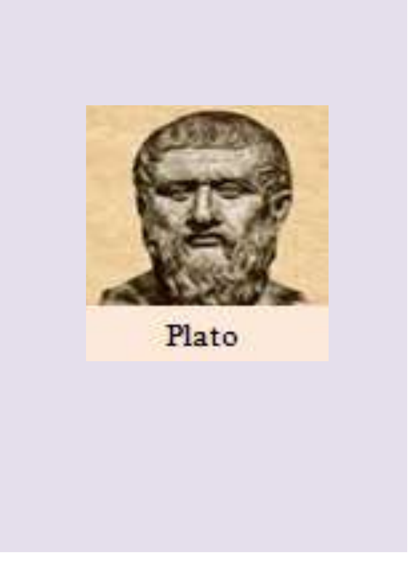

Plato